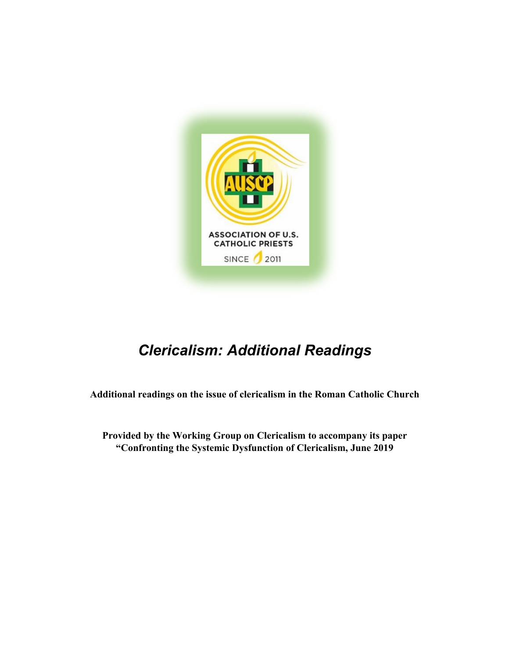

## *Clericalism: Additional Readings*

**Additional readings on the issue of clericalism in the Roman Catholic Church**

**Provided by the Working Group on Clericalism to accompany its paper "Confronting the Systemic Dysfunction of Clericalism, June 2019**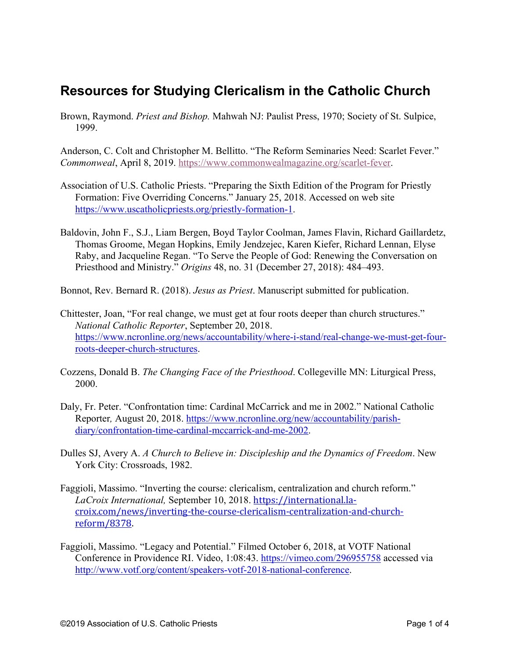## **Resources for Studying Clericalism in the Catholic Church**

Brown, Raymond. *Priest and Bishop.* Mahwah NJ: Paulist Press, 1970; Society of St. Sulpice, 1999.

Anderson, C. Colt and Christopher M. Bellitto. "The Reform Seminaries Need: Scarlet Fever." *Commonweal*, April 8, 2019. https://www.commonwealmagazine.org/scarlet-fever.

- Association of U.S. Catholic Priests. "Preparing the Sixth Edition of the Program for Priestly Formation: Five Overriding Concerns." January 25, 2018. Accessed on web site https://www.uscatholicpriests.org/priestly-formation-1.
- Baldovin, John F., S.J., Liam Bergen, Boyd Taylor Coolman, James Flavin, Richard Gaillardetz, Thomas Groome, Megan Hopkins, Emily Jendzejec, Karen Kiefer, Richard Lennan, Elyse Raby, and Jacqueline Regan. "To Serve the People of God: Renewing the Conversation on Priesthood and Ministry." *Origins* 48, no. 31 (December 27, 2018): 484–493.
- Bonnot, Rev. Bernard R. (2018). *Jesus as Priest*. Manuscript submitted for publication.
- Chittester, Joan, "For real change, we must get at four roots deeper than church structures." *National Catholic Reporter*, September 20, 2018. https://www.ncronline.org/news/accountability/where-i-stand/real-change-we-must-get-fourroots-deeper-church-structures.
- Cozzens, Donald B. *The Changing Face of the Priesthood*. Collegeville MN: Liturgical Press, 2000.
- Daly, Fr. Peter. "Confrontation time: Cardinal McCarrick and me in 2002." National Catholic Reporter*,* August 20, 2018. https://www.ncronline.org/new/accountability/parishdiary/confrontation-time-cardinal-mccarrick-and-me-2002.
- Dulles SJ, Avery A. *A Church to Believe in: Discipleship and the Dynamics of Freedom*. New York City: Crossroads, 1982.
- Faggioli, Massimo. "Inverting the course: clericalism, centralization and church reform." *LaCroix International,* September 10, 2018. https://international.lacroix.com/news/inverting-the-course-clericalism-centralization-and-churchreform/8378.
- Faggioli, Massimo. "Legacy and Potential." Filmed October 6, 2018, at VOTF National Conference in Providence RI. Video, 1:08:43. https://vimeo.com/296955758 accessed via http://www.votf.org/content/speakers-votf-2018-national-conference.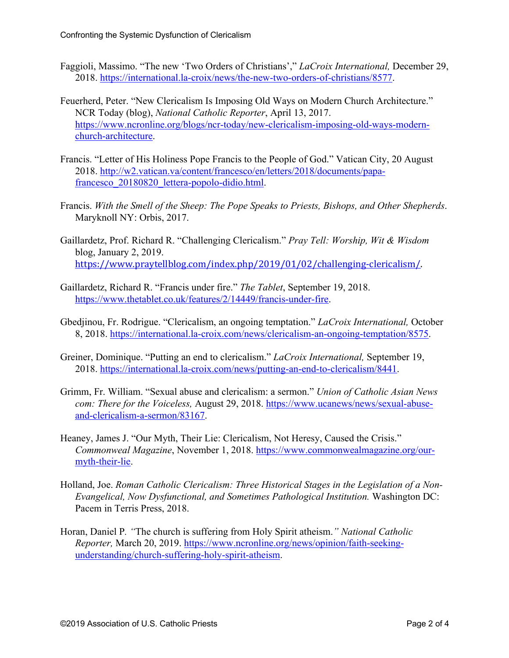- Faggioli, Massimo. "The new 'Two Orders of Christians'," *LaCroix International,* December 29, 2018. https://international.la-croix/news/the-new-two-orders-of-christians/8577.
- Feuerherd, Peter. "New Clericalism Is Imposing Old Ways on Modern Church Architecture." NCR Today (blog), *National Catholic Reporter*, April 13, 2017. https://www.ncronline.org/blogs/ncr-today/new-clericalism-imposing-old-ways-modernchurch-architecture.
- Francis. "Letter of His Holiness Pope Francis to the People of God." Vatican City, 20 August 2018. http://w2.vatican.va/content/francesco/en/letters/2018/documents/papafrancesco\_20180820\_lettera-popolo-didio.html.
- Francis. *With the Smell of the Sheep: The Pope Speaks to Priests, Bishops, and Other Shepherds*. Maryknoll NY: Orbis, 2017.
- Gaillardetz, Prof. Richard R. "Challenging Clericalism." *Pray Tell: Worship, Wit & Wisdom* blog, January 2, 2019. https://www.praytellblog.com/index.php/2019/01/02/challenging-clericalism/.
- Gaillardetz, Richard R. "Francis under fire." *The Tablet*, September 19, 2018. https://www.thetablet.co.uk/features/2/14449/francis-under-fire.
- Gbedjinou, Fr. Rodrigue. "Clericalism, an ongoing temptation." *LaCroix International,* October 8, 2018. https://international.la-croix.com/news/clericalism-an-ongoing-temptation/8575.
- Greiner, Dominique. "Putting an end to clericalism." *LaCroix International,* September 19, 2018. https://international.la-croix.com/news/putting-an-end-to-clericalism/8441.
- Grimm, Fr. William. "Sexual abuse and clericalism: a sermon." *Union of Catholic Asian News com: There for the Voiceless,* August 29, 2018. https://www.ucanews/news/sexual-abuseand-clericalism-a-sermon/83167.
- Heaney, James J. "Our Myth, Their Lie: Clericalism, Not Heresy, Caused the Crisis." *Commonweal Magazine*, November 1, 2018. https://www.commonwealmagazine.org/ourmyth-their-lie.
- Holland, Joe. *Roman Catholic Clericalism: Three Historical Stages in the Legislation of a Non-Evangelical, Now Dysfunctional, and Sometimes Pathological Institution.* Washington DC: Pacem in Terris Press, 2018.
- Horan, Daniel P*. "*The church is suffering from Holy Spirit atheism.*" National Catholic Reporter,* March 20, 2019. https://www.ncronline.org/news/opinion/faith-seekingunderstanding/church-suffering-holy-spirit-atheism.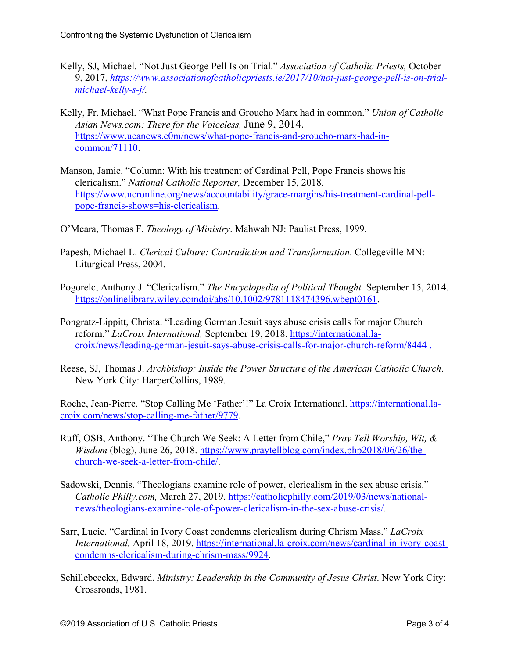- Kelly, SJ, Michael. "Not Just George Pell Is on Trial." *Association of Catholic Priests,* October 9, 2017, *https://www.associationofcatholicpriests.ie/2017/10/not-just-george-pell-is-on-trialmichael-kelly-s-j/.*
- Kelly, Fr. Michael. "What Pope Francis and Groucho Marx had in common." *Union of Catholic Asian News.com: There for the Voiceless,* June 9, 2014. https://www.ucanews.c0m/news/what-pope-francis-and-groucho-marx-had-incommon/71110.
- Manson, Jamie. "Column: With his treatment of Cardinal Pell, Pope Francis shows his clericalism." *National Catholic Reporter,* December 15, 2018. https://www.ncronline.org/news/accountability/grace-margins/his-treatment-cardinal-pellpope-francis-shows=his-clericalism.
- O'Meara, Thomas F. *Theology of Ministry*. Mahwah NJ: Paulist Press, 1999.
- Papesh, Michael L. *Clerical Culture: Contradiction and Transformation*. Collegeville MN: Liturgical Press, 2004.
- Pogorelc, Anthony J. "Clericalism." *The Encyclopedia of Political Thought.* September 15, 2014. https://onlinelibrary.wiley.comdoi/abs/10.1002/9781118474396.wbept0161.
- Pongratz-Lippitt, Christa. "Leading German Jesuit says abuse crisis calls for major Church reform." *LaCroix International,* September 19, 2018. https://international.lacroix/news/leading-german-jesuit-says-abuse-crisis-calls-for-major-church-reform/8444 .
- Reese, SJ, Thomas J. *Archbishop: Inside the Power Structure of the American Catholic Church*. New York City: HarperCollins, 1989.

Roche, Jean-Pierre. "Stop Calling Me 'Father'!" La Croix International. https://international.lacroix.com/news/stop-calling-me-father/9779.

- Ruff, OSB, Anthony. "The Church We Seek: A Letter from Chile," *Pray Tell Worship, Wit, & Wisdom* (blog), June 26, 2018. https://www.praytellblog.com/index.php2018/06/26/thechurch-we-seek-a-letter-from-chile/.
- Sadowski, Dennis. "Theologians examine role of power, clericalism in the sex abuse crisis." *Catholic Philly.com, March 27, 2019.* https://catholicphilly.com/2019/03/news/nationalnews/theologians-examine-role-of-power-clericalism-in-the-sex-abuse-crisis/.
- Sarr, Lucie. "Cardinal in Ivory Coast condemns clericalism during Chrism Mass." *LaCroix International,* April 18, 2019. https://international.la-croix.com/news/cardinal-in-ivory-coastcondemns-clericalism-during-chrism-mass/9924.
- Schillebeeckx, Edward. *Ministry: Leadership in the Community of Jesus Christ*. New York City: Crossroads, 1981.